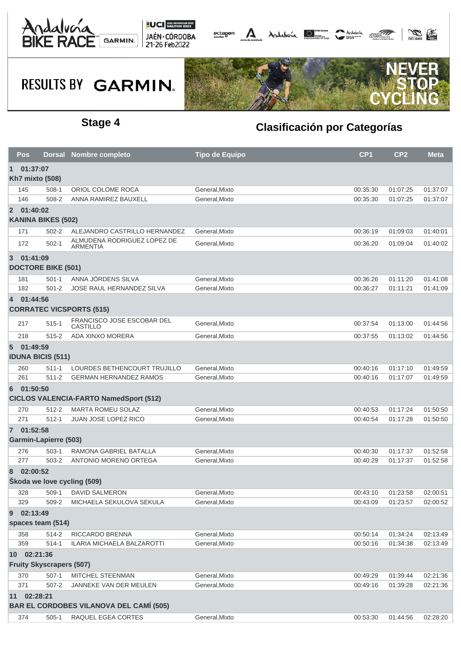



## **RESULTS BY GARMIN.**



### **Stage 4 Clasificación por Categorías**

| CP <sub>1</sub><br><b>Tipo de Equipo</b><br><b>Nombre completo</b><br>Pos<br><b>Dorsal</b>     | CP <sub>2</sub><br><b>Meta</b> |  |  |  |  |  |  |
|------------------------------------------------------------------------------------------------|--------------------------------|--|--|--|--|--|--|
| $\vert$ 1<br>01:37:07                                                                          |                                |  |  |  |  |  |  |
| Kh7 mixto (508)                                                                                |                                |  |  |  |  |  |  |
| ORIOL COLOME ROCA<br>General.Mixto<br>00:35:30<br>145<br>$508-1$                               | 01:37:07<br>01:07:25           |  |  |  |  |  |  |
| ANNA RAMIREZ BAUXELL<br>00:35:30<br>146<br>508-2<br>General, Mixto                             | 01:07:25<br>01:37:07           |  |  |  |  |  |  |
| 2 01:40:02                                                                                     |                                |  |  |  |  |  |  |
| <b>KANINA BIKES (502)</b>                                                                      |                                |  |  |  |  |  |  |
| ALEJANDRO CASTRILLO HERNANDEZ<br>General, Mixto<br>171<br>$502 - 2$<br>00:36:19                | 01:09:03<br>01:40:01           |  |  |  |  |  |  |
| ALMUDENA RODRIGUEZ LOPEZ DE<br>172<br>$502-1$<br>General, Mixto<br>00:36:20<br><b>ARMENTIA</b> | 01:09:04<br>01:40:02           |  |  |  |  |  |  |
| 01:41:09<br>3                                                                                  |                                |  |  |  |  |  |  |
| <b>DOCTORE BIKE (501)</b>                                                                      |                                |  |  |  |  |  |  |
| ANNA JÖRDENS SILVA<br>$501 - 1$<br>General, Mixto<br>00:36:26<br>181                           | 01:11:20<br>01:41:08           |  |  |  |  |  |  |
| JOSE RAUL HERNANDEZ SILVA<br>182<br>$501 - 2$<br>General, Mixto<br>00:36:27                    | 01:11:21<br>01:41:09           |  |  |  |  |  |  |
| 01:44:56<br>$\overline{4}$                                                                     |                                |  |  |  |  |  |  |
| <b>CORRATEC VICSPORTS (515)</b>                                                                |                                |  |  |  |  |  |  |
| FRANCISCO JOSE ESCOBAR DEL<br>217<br>$515 - 1$<br>General, Mixto<br>00:37:54<br>CASTILLO       | 01:44:56<br>01:13:00           |  |  |  |  |  |  |
| ADA XINXO MORERA<br>218<br>$515 - 2$<br>General.Mixto<br>00:37:55                              | 01:44:56<br>01:13:02           |  |  |  |  |  |  |
| 01:49:59<br>$\sqrt{5}$                                                                         |                                |  |  |  |  |  |  |
| <b>IDUNA BICIS (511)</b>                                                                       |                                |  |  |  |  |  |  |
| 260<br>LOURDES BETHENCOURT TRUJILLO<br>General, Mixto<br>00:40:16<br>$511 - 1$                 | 01:17:10<br>01:49:59           |  |  |  |  |  |  |
| 261<br>$511 - 2$<br><b>GERMAN HERNANDEZ RAMOS</b><br>General, Mixto<br>00:40:16                | 01:49:59<br>01:17:07           |  |  |  |  |  |  |
| 01:50:50<br>6                                                                                  |                                |  |  |  |  |  |  |
| <b>CICLOS VALENCIA-FARTO NamedSport (512)</b>                                                  |                                |  |  |  |  |  |  |
| <b>MARTA ROMEU SOLAZ</b><br>General, Mixto<br>270<br>$512 - 2$<br>00:40:53                     | 01:17:24<br>01:50:50           |  |  |  |  |  |  |
| 271<br>JUAN JOSE LOPEZ RICO<br>$512 - 1$<br>General, Mixto<br>00:40:54                         | 01:17:28<br>01:50:50           |  |  |  |  |  |  |
| 01:52:58<br>$\mathbf{7}$                                                                       |                                |  |  |  |  |  |  |
| <b>Garmin-Lapierre (503)</b>                                                                   |                                |  |  |  |  |  |  |
| 276<br>$503-1$<br>RAMONA GABRIEL BATALLA<br>General, Mixto<br>00:40:30                         | 01:17:37<br>01:52:58           |  |  |  |  |  |  |
| 277<br>$503 - 2$<br>ANTONIO MORENO ORTEGA<br>General, Mixto<br>00:40:29                        | 01:17:37<br>01:52:58           |  |  |  |  |  |  |
|                                                                                                |                                |  |  |  |  |  |  |
| 02:00:52<br>8<br>Škoda we love cycling (509)                                                   |                                |  |  |  |  |  |  |
| 328<br>DAVID SALMERON<br>General, Mixto<br>00:43:10<br>509-1                                   | 01:23:58<br>02:00:51           |  |  |  |  |  |  |
| MICHAELA SEKULOVA SEKULA<br>329<br>509-2<br>General, Mixto<br>00:43:09                         | 01:23:57<br>02:00:52           |  |  |  |  |  |  |
| 02:13:49<br>9                                                                                  |                                |  |  |  |  |  |  |
| spaces team (514)                                                                              |                                |  |  |  |  |  |  |
| 358<br>514-2<br>RICCARDO BRENNA<br>General, Mixto<br>00:50:14                                  | 01:34:24<br>02:13:49           |  |  |  |  |  |  |
| 359<br>$514 - 1$<br>ILARIA MICHAELA BALZAROTTI<br>General, Mixto<br>00:50:16                   | 01:34:38<br>02:13:49           |  |  |  |  |  |  |
| 10 02:21:36                                                                                    |                                |  |  |  |  |  |  |
| <b>Fruity Skyscrapers (507)</b>                                                                |                                |  |  |  |  |  |  |
| 370<br>$507 - 1$<br>MITCHEL STEENMAN<br>General, Mixto<br>00:49:29                             | 01:39:44<br>02:21:36           |  |  |  |  |  |  |
| 371<br>General, Mixto<br>$507 - 2$<br>JANNEKE VAN DER MEULEN<br>00:49:16                       | 02:21:36<br>01:39:28           |  |  |  |  |  |  |
| 11 02:28:21                                                                                    |                                |  |  |  |  |  |  |
| <b>BAR EL CORDOBES VILANOVA DEL CAMÍ (505)</b>                                                 |                                |  |  |  |  |  |  |
| RAQUEL EGEA CORTES<br>374<br>$505-1$<br>General, Mixto<br>00:53:30                             | 02:28:20<br>01:44:56           |  |  |  |  |  |  |